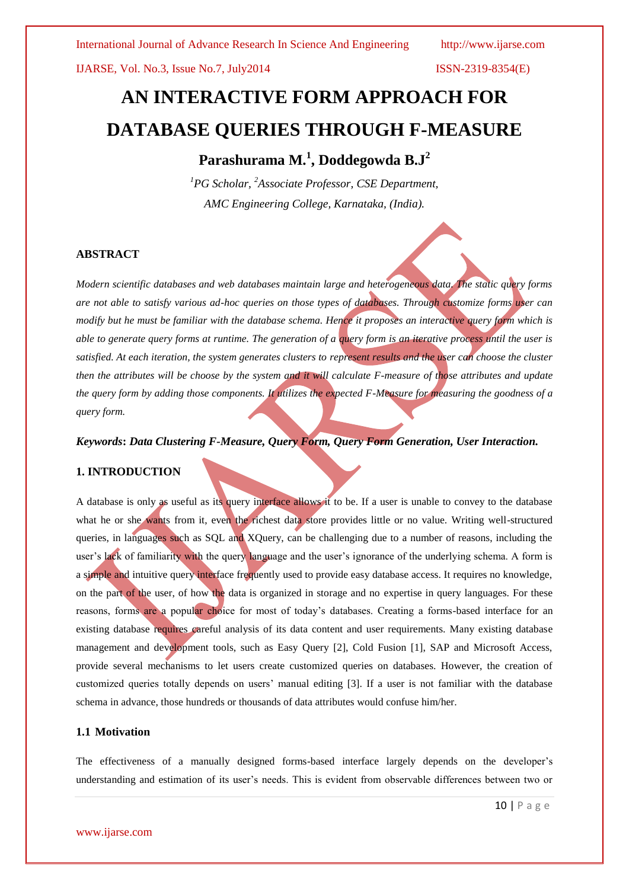# **AN INTERACTIVE FORM APPROACH FOR DATABASE QUERIES THROUGH F-MEASURE**

# **Parashurama M.<sup>1</sup> , Doddegowda B.J<sup>2</sup>**

*<sup>1</sup>PG Scholar, <sup>2</sup>Associate Professor, CSE Department, AMC Engineering College, Karnataka, (India).*

# **ABSTRACT**

*Modern scientific databases and web databases maintain large and heterogeneous data. The static query forms are not able to satisfy various ad-hoc queries on those types of databases. Through customize forms user can modify but he must be familiar with the database schema. Hence it proposes an interactive query form which is able to generate query forms at runtime. The generation of a query form is an iterative process until the user is satisfied. At each iteration, the system generates clusters to represent results and the user can choose the cluster then the attributes will be choose by the system and it will calculate F-measure of those attributes and update the query form by adding those components. It utilizes the expected F-Measure for measuring the goodness of a query form.*

*Keywords***:** *Data Clustering F-Measure, Query Form, Query Form Generation, User Interaction.*

# **1. INTRODUCTION**

A database is only as useful as its query interface allows it to be. If a user is unable to convey to the database what he or she wants from it, even the richest data store provides little or no value. Writing well-structured queries, in languages such as SQL and XQuery, can be challenging due to a number of reasons, including the user's lack of familiarity with the query language and the user's ignorance of the underlying schema. A form is a simple and intuitive query interface frequently used to provide easy database access. It requires no knowledge, on the part of the user, of how the data is organized in storage and no expertise in query languages. For these reasons, forms are a popular choice for most of today's databases. Creating a forms-based interface for an existing database requires careful analysis of its data content and user requirements. Many existing database management and development tools, such as Easy Query [2], Cold Fusion [1], SAP and Microsoft Access, provide several mechanisms to let users create customized queries on databases. However, the creation of customized queries totally depends on users' manual editing [3]. If a user is not familiar with the database schema in advance, those hundreds or thousands of data attributes would confuse him/her.

# **1.1 Motivation**

The effectiveness of a manually designed forms-based interface largely depends on the developer's understanding and estimation of its user's needs. This is evident from observable differences between two or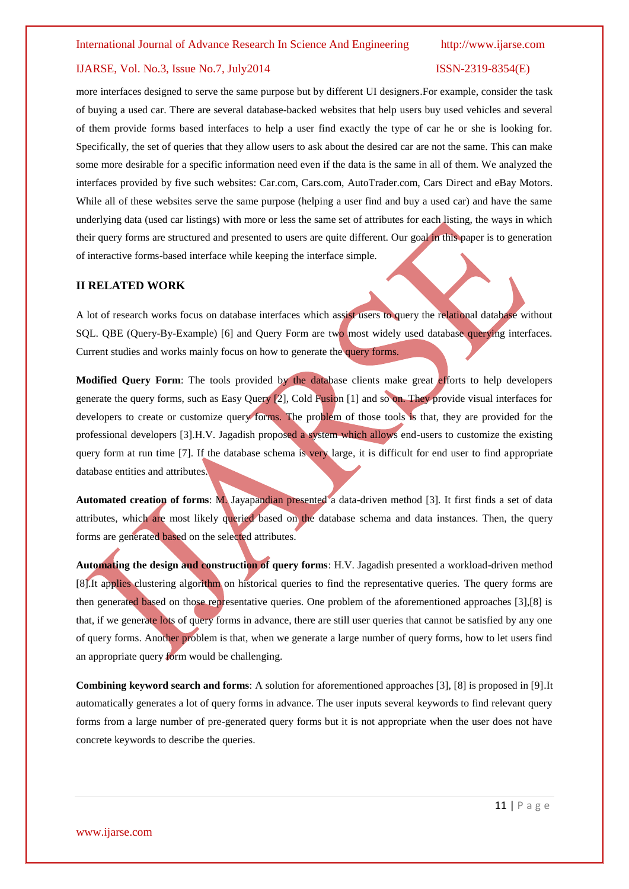more interfaces designed to serve the same purpose but by different UI designers.For example, consider the task of buying a used car. There are several database-backed websites that help users buy used vehicles and several of them provide forms based interfaces to help a user find exactly the type of car he or she is looking for. Specifically, the set of queries that they allow users to ask about the desired car are not the same. This can make some more desirable for a specific information need even if the data is the same in all of them. We analyzed the interfaces provided by five such websites: Car.com, Cars.com, AutoTrader.com, Cars Direct and eBay Motors. While all of these websites serve the same purpose (helping a user find and buy a used car) and have the same underlying data (used car listings) with more or less the same set of attributes for each listing, the ways in which their query forms are structured and presented to users are quite different. Our goal in this paper is to generation of interactive forms-based interface while keeping the interface simple.

# **II RELATED WORK**

A lot of research works focus on database interfaces which assist users to query the relational database without SQL. QBE (Query-By-Example) [6] and Query Form are two most widely used database querying interfaces. Current studies and works mainly focus on how to generate the query forms.

**Modified Query Form**: The tools provided by the database clients make great efforts to help developers generate the query forms, such as Easy Query [2], Cold Fusion [1] and so on. They provide visual interfaces for developers to create or customize query forms. The problem of those tools is that, they are provided for the professional developers [3].H.V. Jagadish proposed a system which allows end-users to customize the existing query form at run time [7]. If the database schema is very large, it is difficult for end user to find appropriate database entities and attributes.

**Automated creation of forms**: M. Jayapandian presented a data-driven method [3]. It first finds a set of data attributes, which are most likely queried based on the database schema and data instances. Then, the query forms are generated based on the selected attributes.

**Automating the design and construction of query forms**: H.V. Jagadish presented a workload-driven method [8].It applies clustering algorithm on historical queries to find the representative queries. The query forms are then generated based on those representative queries. One problem of the aforementioned approaches [3],[8] is that, if we generate lots of query forms in advance, there are still user queries that cannot be satisfied by any one of query forms. Another problem is that, when we generate a large number of query forms, how to let users find an appropriate query form would be challenging.

**Combining keyword search and forms**: A solution for aforementioned approaches [3], [8] is proposed in [9].It automatically generates a lot of query forms in advance. The user inputs several keywords to find relevant query forms from a large number of pre-generated query forms but it is not appropriate when the user does not have concrete keywords to describe the queries.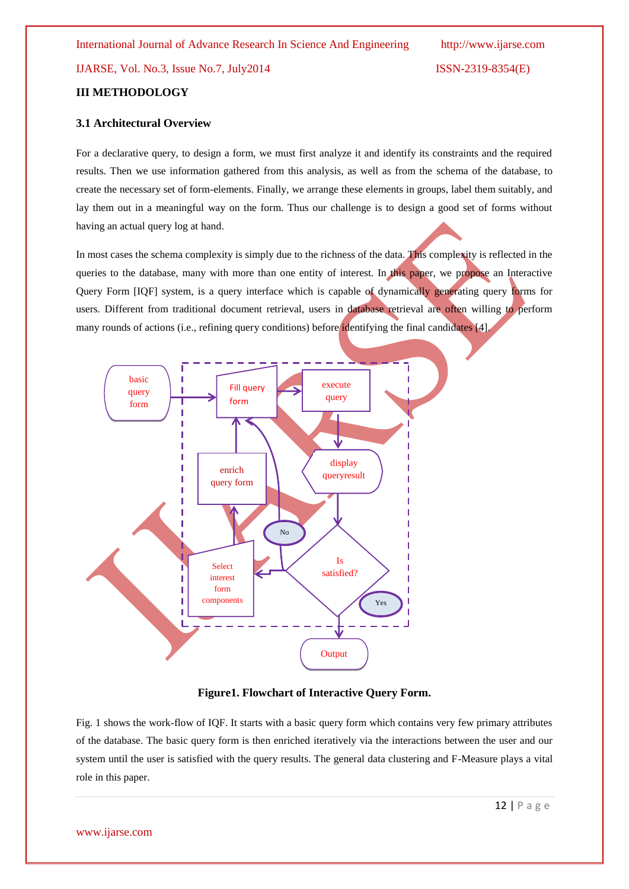# **III METHODOLOGY**

# **3.1 Architectural Overview**

For a declarative query, to design a form, we must first analyze it and identify its constraints and the required results. Then we use information gathered from this analysis, as well as from the schema of the database, to create the necessary set of form-elements. Finally, we arrange these elements in groups, label them suitably, and lay them out in a meaningful way on the form. Thus our challenge is to design a good set of forms without having an actual query log at hand.

In most cases the schema complexity is simply due to the richness of the data. This complexity is reflected in the queries to the database, many with more than one entity of interest. In this paper, we propose an Interactive Query Form [IQF] system, is a query interface which is capable of dynamically generating query forms for users. Different from traditional document retrieval, users in database retrieval are often willing to perform many rounds of actions (i.e., refining query conditions) before identifying the final candidates [4].



# **Figure1. Flowchart of Interactive Query Form.**

Fig. 1 shows the work-flow of IQF. It starts with a basic query form which contains very few primary attributes of the database. The basic query form is then enriched iteratively via the interactions between the user and our system until the user is satisfied with the query results. The general data clustering and F-Measure plays a vital role in this paper.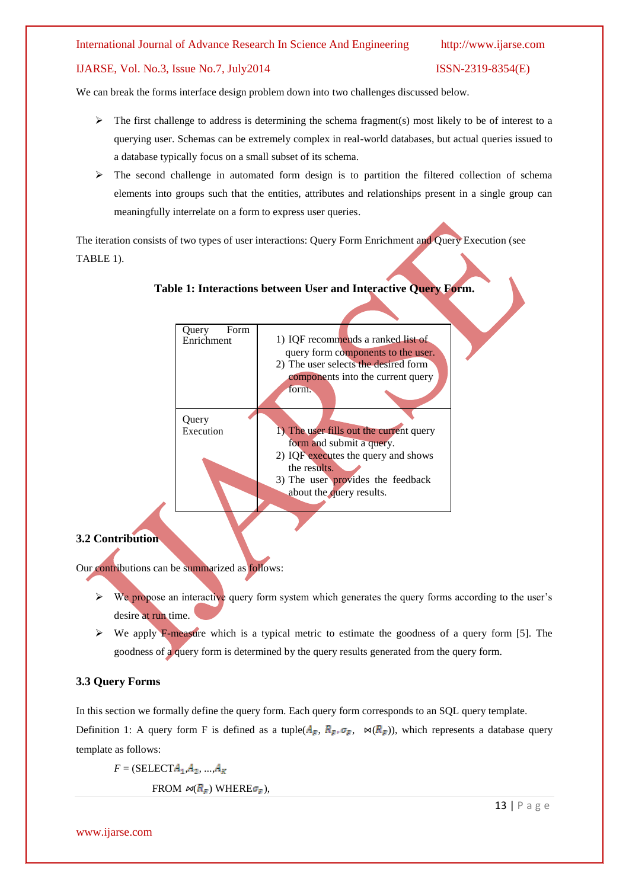# IJARSE, Vol. No.3, Issue No.7, July2014 ISSN-2319-8354(E)

We can break the forms interface design problem down into two challenges discussed below.

- $\triangleright$  The first challenge to address is determining the schema fragment(s) most likely to be of interest to a querying user. Schemas can be extremely complex in real-world databases, but actual queries issued to a database typically focus on a small subset of its schema.
- $\triangleright$  The second challenge in automated form design is to partition the filtered collection of schema elements into groups such that the entities, attributes and relationships present in a single group can meaningfully interrelate on a form to express user queries.

The iteration consists of two types of user interactions: Query Form Enrichment and Query Execution (see TABLE 1).

# **Table 1: Interactions between User and Interactive Query Form.**



# **3.2 Contribution**

Our contributions can be summarized as follows:

- $\triangleright$  We propose an interactive query form system which generates the query forms according to the user's desire at run time.
- $\triangleright$  We apply F-measure which is a typical metric to estimate the goodness of a query form [5]. The goodness of a query form is determined by the query results generated from the query form.

# **3.3 Query Forms**

In this section we formally define the query form. Each query form corresponds to an SQL query template. Definition 1: A query form F is defined as a tuple( $A_F$ ,  $R_F$ ,  $\sigma_F$ ,  $\bowtie (R_F)$ ), which represents a database query template as follows:

 $F = (SELECT A_1, A_2, ..., A_K)$ 

FROM  $\bowtie$   $(R_F)$  WHERE $\sigma_F$ ),

www.ijarse.com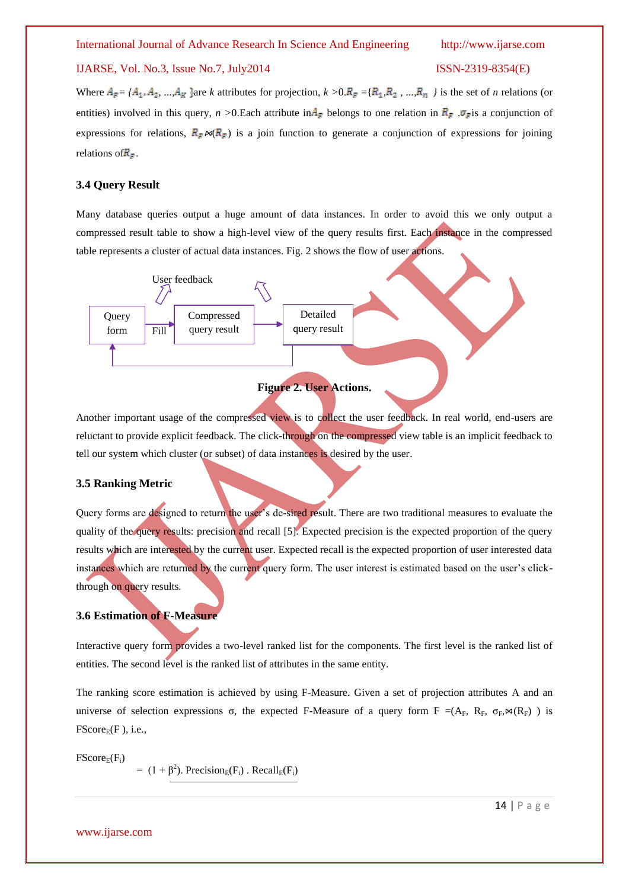Where  $A_F = \{A_1, A_2, ..., A_K\}$  are *k* attributes for projection,  $k > 0, R_F = \{R_1, R_2, ..., R_n\}$  is the set of *n* relations (or entities) involved in this query, *n* >0.Each attribute in  $A_F$  belongs to one relation in  $R_F$ .  $\sigma_F$  is a conjunction of expressions for relations,  $R_F \bowtie (R_F)$  is a join function to generate a conjunction of expressions for joining relations of  $R_F$ .

# **3.4 Query Result**

Many database queries output a huge amount of data instances. In order to avoid this we only output a compressed result table to show a high-level view of the query results first. Each instance in the compressed table represents a cluster of actual data instances. Fig. 2 shows the flow of user actions.



# **Figure 2. User Actions.**

Another important usage of the compressed view is to collect the user feedback. In real world, end-users are reluctant to provide explicit feedback. The click-through on the compressed view table is an implicit feedback to tell our system which cluster (or subset) of data instances is desired by the user.

# **3.5 Ranking Metric**

Query forms are designed to return the user's de-sired result. There are two traditional measures to evaluate the quality of the query results: precision and recall [5]. Expected precision is the expected proportion of the query results which are interested by the current user. Expected recall is the expected proportion of user interested data instances which are returned by the current query form. The user interest is estimated based on the user's clickthrough on query results.

# **3.6 Estimation of F-Measure**

Interactive query form provides a two-level ranked list for the components. The first level is the ranked list of entities. The second level is the ranked list of attributes in the same entity.

The ranking score estimation is achieved by using F-Measure. Given a set of projection attributes A and an universe of selection expressions σ, the expected F-Measure of a query form F =(A<sub>F</sub>, R<sub>F</sub>, σ<sub>F</sub>,  $\alpha$ (R<sub>F</sub>) ) is  $FScore_E(F)$ , i.e.,

 $FScore<sub>F</sub>(F<sub>i</sub>)$ 

 $= (1 + \beta^2)$ . Precision<sub>E</sub>(F<sub>i</sub>). Recall<sub>E</sub>(F<sub>i</sub>)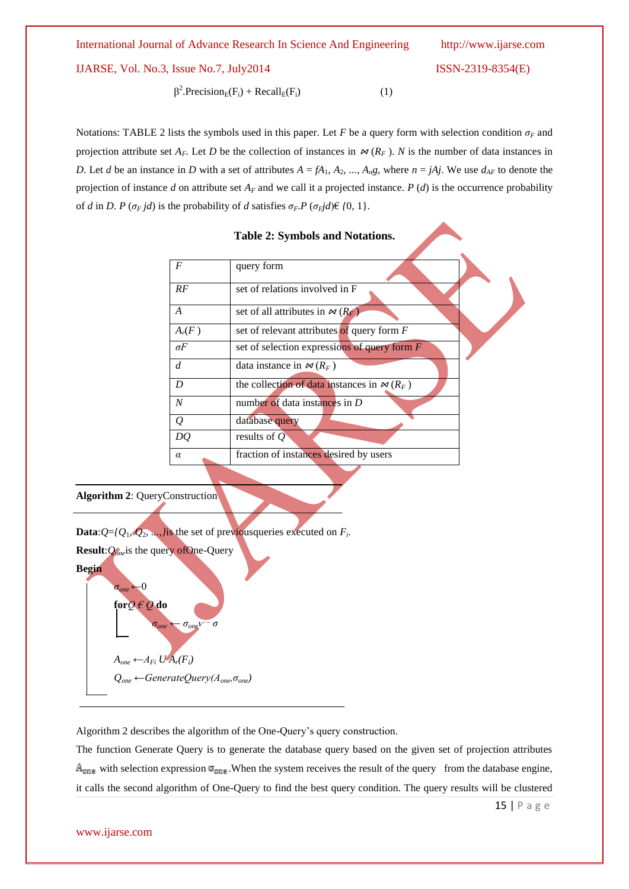IJARSE, Vol. No.3, Issue No.7, July2014 ISSN-2319-8354(E)

 β <sup>2</sup>.Precision<sub>E</sub>(F<sub>i</sub>) + Recall<sub>E</sub>(F<sub>i</sub>) (1)

Notations: TABLE 2 lists the symbols used in this paper. Let *F* be a query form with selection condition  $\sigma_F$  and projection attribute set  $A_F$ . Let *D* be the collection of instances in  $\bowtie$  ( $R_F$ ). *N* is the number of data instances in *D*. Let *d* be an instance in *D* with a set of attributes  $A = fA_1$ ,  $A_2$ , ...,  $A_n g$ , where  $n = jAj$ . We use  $d_{AF}$  to denote the projection of instance *d* on attribute set  $A_F$  and we call it a projected instance. *P (d)* is the occurrence probability of *d* in *D*. *P* ( $\sigma_F$ *jd*) is the probability of *d* satisfies  $\sigma_F$ *P* ( $\sigma_F$ *jd*) $\in$  {0, 1}.

|                  | <b>Table 2: Symbols and Notations.</b>                 |
|------------------|--------------------------------------------------------|
| $\boldsymbol{F}$ | query form                                             |
| RF               | set of relations involved in F                         |
| A                | set of all attributes in $\approx (R_F)$               |
| $A_r(F)$         | set of relevant attributes of query form $F$           |
| $\sigma F$       | set of selection expressions of query form $F$         |
| d                | data instance in $\approx (R_F)$                       |
| D                | the collection of data instances in $\mathcal{M}(R_F)$ |
| $\boldsymbol{N}$ | number of data instances in $D$                        |
| $\mathcal{Q}$    | database query                                         |
| DQ               | results of $Q$                                         |
| $\alpha$         | fraction of instances desired by users                 |

**Algorithm 2**: QueryConstruction

**Data:** $Q = \{Q_1, Q_2, \ldots\}$  is the set of previous queries executed on  $F_i$ .

**Result**:*Qone*is the query ofOne-Query **Begin**

> *σone* ←0 **for***Q € Q* **do**

 $A_{one}$  ←  $A_{Fi}$   $UA_r$  $(F_i)$ *Qone ←GenerateQuery(Aone,σone)*

 $\sigma_{one}$  $V$ *\_ σ*

Algorithm 2 describes the algorithm of the One-Query's query construction.

The function Generate Query is to generate the database query based on the given set of projection attributes  $A_{one}$  with selection expression  $\sigma_{one}$ . When the system receives the result of the query from the database engine, it calls the second algorithm of One-Query to find the best query condition. The query results will be clustered

15 | P a g e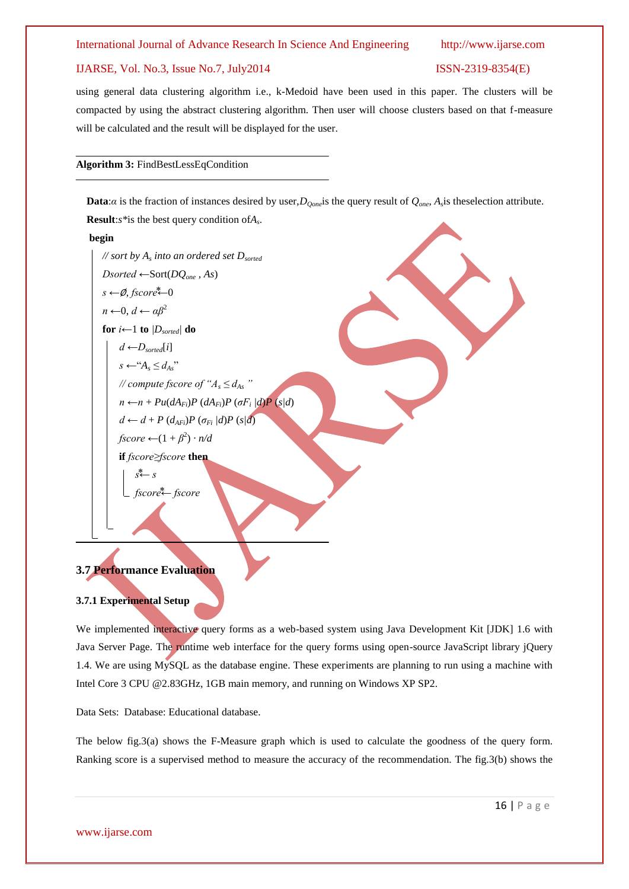# IJARSE, Vol. No.3, Issue No.7, July2014 ISSN-2319-8354(E)

using general data clustering algorithm i.e., k-Medoid have been used in this paper. The clusters will be compacted by using the abstract clustering algorithm. Then user will choose clusters based on that f-measure will be calculated and the result will be displayed for the user.

# **Algorithm 3:** FindBestLessEqCondition

**Data**:*α* is the fraction of instances desired by user,*DQone*is the query result of *Qone*, *A<sup>s</sup>* is theselection attribute. **Result**:*s\**is the best query condition of*A<sup>s</sup>* .

### **begin**

# *// sort by A<sup>s</sup> into an ordered set Dsorted Dsorted ←*Sort(*DQone , As*) *s ←*∅, *fscore⃰←*0 *n ←*0, *d ← αβ*<sup>2</sup> **for**  $i \leftarrow 1$  **to**  $\left|D_{sorted}\right|$  **do**  $d$  ← *D*<sub>sorted</sub>[i]  $s \leftarrow "A_s \leq d_{As}$ " *// compute fscore of*  $A_s \leq d_{As}$  *"*  $n \leftarrow n + Pu(dA_{Fi})P(dA_{Fi})P(\sigma F_i/d)P(s/d)$  $d \leftarrow d + P(d_{AFi})P(\sigma_{Fi}/d)P(s/d)$  $fscore \leftarrow (1 + \beta^2) \cdot n/d$ **if** *fscore≥fscore* **then**   $s \leftarrow s$ *fscore⃰← fscore*

# **3.7 Performance Evaluation**

# **3.7.1 Experimental Setup**

We implemented interactive query forms as a web-based system using Java Development Kit [JDK] 1.6 with Java Server Page. The runtime web interface for the query forms using open-source JavaScript library jQuery 1.4. We are using MySQL as the database engine. These experiments are planning to run using a machine with Intel Core 3 CPU @2.83GHz, 1GB main memory, and running on Windows XP SP2.

Data Sets: Database: Educational database.

The below fig.3(a) shows the F-Measure graph which is used to calculate the goodness of the query form. Ranking score is a supervised method to measure the accuracy of the recommendation. The fig.3(b) shows the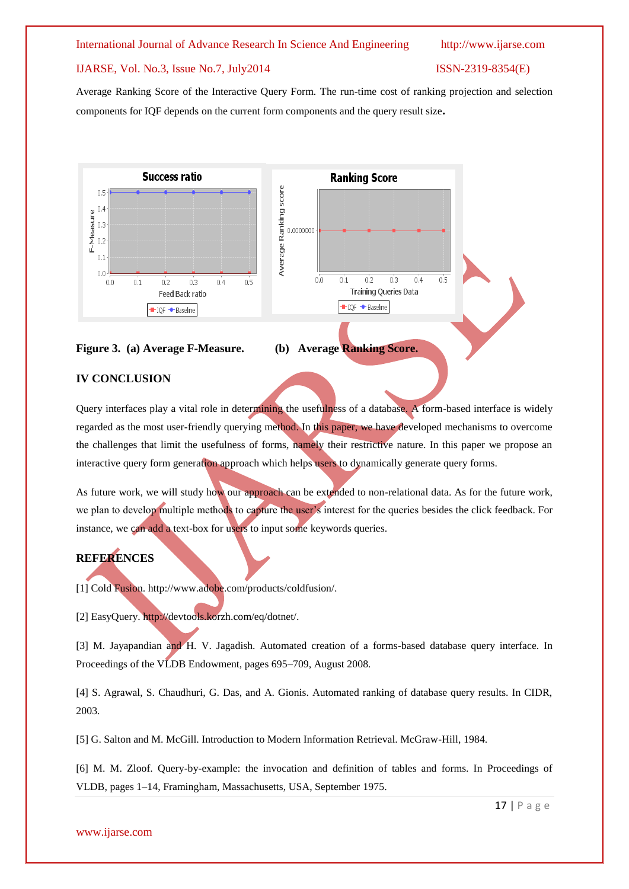# IJARSE, Vol. No.3, Issue No.7, July2014 ISSN-2319-8354(E)

Average Ranking Score of the Interactive Query Form. The run-time cost of ranking projection and selection components for IQF depends on the current form components and the query result size**.**







 $0.2$ 

 $0.3$ 

Training Queries Data

 $0.4$ 

o.s

# **IV CONCLUSION**

Query interfaces play a vital role in determining the usefulness of a database. A form-based interface is widely regarded as the most user-friendly querying method. In this paper, we have developed mechanisms to overcome the challenges that limit the usefulness of forms, namely their restrictive nature. In this paper we propose an interactive query form generation approach which helps users to dynamically generate query forms.

As future work, we will study how our approach can be extended to non-relational data. As for the future work, we plan to develop multiple methods to capture the user's interest for the queries besides the click feedback. For instance, we can add a text-box for users to input some keywords queries.

# **REFERENCES**

[1] Cold Fusion. http://www.adobe.com/products/coldfusion/.

[2] EasyQuery. http://devtools.korzh.com/eq/dotnet/.

[3] M. Jayapandian and H. V. Jagadish. Automated creation of a forms-based database query interface. In Proceedings of the VLDB Endowment, pages 695–709, August 2008.

[4] S. Agrawal, S. Chaudhuri, G. Das, and A. Gionis. Automated ranking of database query results. In CIDR, 2003.

[5] G. Salton and M. McGill. Introduction to Modern Information Retrieval. McGraw-Hill, 1984.

[6] M. M. Zloof. Query-by-example: the invocation and definition of tables and forms. In Proceedings of VLDB, pages 1–14, Framingham, Massachusetts, USA, September 1975.